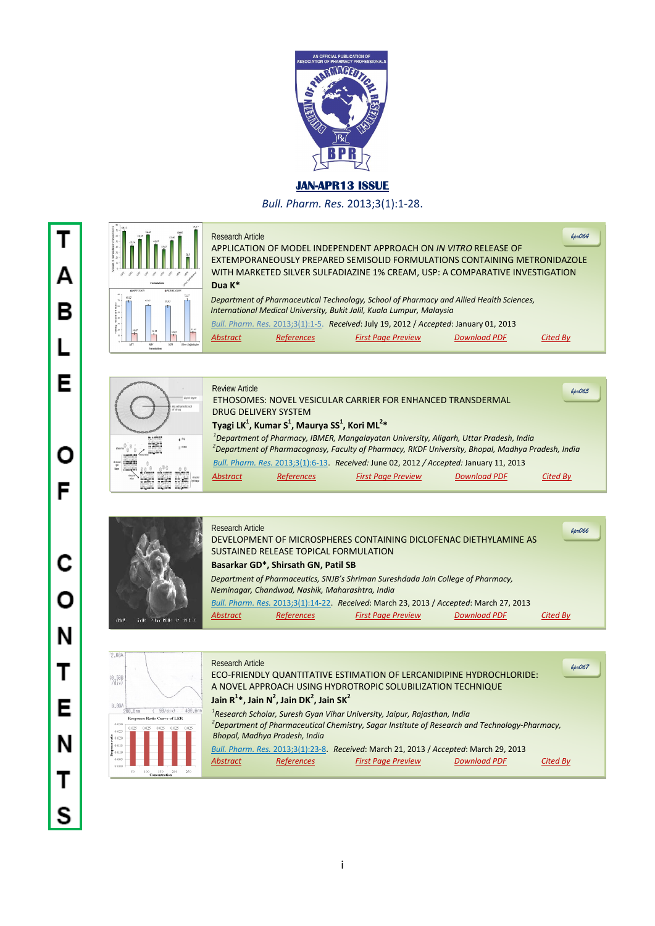

## **JAN-APR13 ISSUE**

*Bull. Pharm. Res.* 2013;3(1):1-28.



## Research Article

APPLICATION OF MODEL INDEPENDENT APPROACH ON *IN VITRO* RELEASE OF EXTEMPORANEOUSLY PREPARED SEMISOLID FORMULATIONS CONTAINING METRONIDAZOLE WITH MARKETED SILVER SULFADIAZINE 1% CREAM, USP: A COMPARATIVE INVESTIGATION  **Dua K\***

*bpr064*

 *Department of Pharmaceutical Technology, School of Pharmacy and Allied Health Sciences, International Medical University, Bukit Jalil, Kuala Lumpur, Malaysia Bull. Pharm. Res.* 2013;3(1):1-5. *Received*: July 19, 2012 / *Accepted*: January 01, 2013

| Abstract<br>Cited By<br><b>Download PDF</b><br><b>References</b><br><b>First Page Preview</b> | $D^{\alpha\beta\gamma}$ , in the first section of the contract of $\alpha\gamma$ and $\alpha\gamma$ and $\gamma$ are contracted for $\gamma$ |  |  |  |  |  |  |
|-----------------------------------------------------------------------------------------------|----------------------------------------------------------------------------------------------------------------------------------------------|--|--|--|--|--|--|
|                                                                                               |                                                                                                                                              |  |  |  |  |  |  |



|             | <b>Review Article</b> |                                                                                               |                                                                                                               |                     | 6pr065   |
|-------------|-----------------------|-----------------------------------------------------------------------------------------------|---------------------------------------------------------------------------------------------------------------|---------------------|----------|
| Lipid layer |                       |                                                                                               | ETHOSOMES: NOVEL VESICULAR CARRIER FOR ENHANCED TRANSDERMAL                                                   |                     |          |
|             |                       | <b>DRUG DELIVERY SYSTEM</b>                                                                   |                                                                                                               |                     |          |
|             |                       | Tyagi LK <sup>1</sup> , Kumar S <sup>1</sup> , Maurya SS <sup>1</sup> , Kori ML <sup>2*</sup> |                                                                                                               |                     |          |
| $e^{i\pi}$  |                       |                                                                                               | <sup>1</sup> Department of Pharmacy, IBMER, Mangalayatan University, Aligarh, Uttar Pradesh, India            |                     |          |
|             |                       |                                                                                               | <sup>2</sup> Department of Pharmacognosy, Faculty of Pharmacy, RKDF University, Bhopal, Madhya Pradesh, India |                     |          |
|             |                       |                                                                                               | Bull. Pharm. Res. 2013;3(1):6-13. Received: June 02, 2012 / Accepted: January 11, 2013                        |                     |          |
|             |                       | References                                                                                    | <b>First Page Preview</b>                                                                                     | <b>Download PDF</b> | Cited Bv |